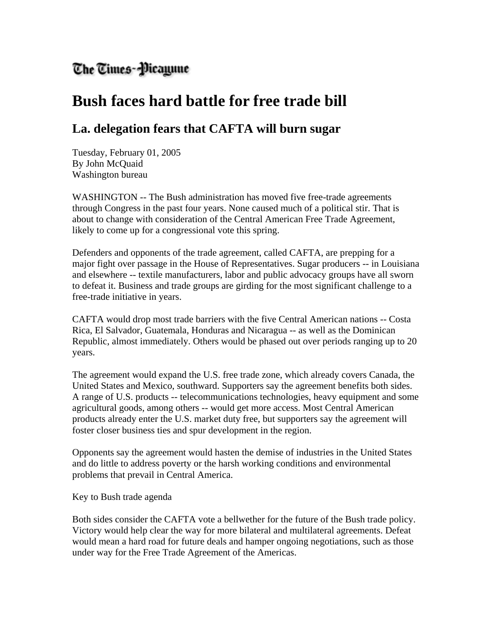## The Times-Micayune

## **Bush faces hard battle for free trade bill**

## **La. delegation fears that CAFTA will burn sugar**

Tuesday, February 01, 2005 By John McQuaid Washington bureau

WASHINGTON -- The Bush administration has moved five free-trade agreements through Congress in the past four years. None caused much of a political stir. That is about to change with consideration of the Central American Free Trade Agreement, likely to come up for a congressional vote this spring.

Defenders and opponents of the trade agreement, called CAFTA, are prepping for a major fight over passage in the House of Representatives. Sugar producers -- in Louisiana and elsewhere -- textile manufacturers, labor and public advocacy groups have all sworn to defeat it. Business and trade groups are girding for the most significant challenge to a free-trade initiative in years.

CAFTA would drop most trade barriers with the five Central American nations -- Costa Rica, El Salvador, Guatemala, Honduras and Nicaragua -- as well as the Dominican Republic, almost immediately. Others would be phased out over periods ranging up to 20 years.

The agreement would expand the U.S. free trade zone, which already covers Canada, the United States and Mexico, southward. Supporters say the agreement benefits both sides. A range of U.S. products -- telecommunications technologies, heavy equipment and some agricultural goods, among others -- would get more access. Most Central American products already enter the U.S. market duty free, but supporters say the agreement will foster closer business ties and spur development in the region.

Opponents say the agreement would hasten the demise of industries in the United States and do little to address poverty or the harsh working conditions and environmental problems that prevail in Central America.

Key to Bush trade agenda

Both sides consider the CAFTA vote a bellwether for the future of the Bush trade policy. Victory would help clear the way for more bilateral and multilateral agreements. Defeat would mean a hard road for future deals and hamper ongoing negotiations, such as those under way for the Free Trade Agreement of the Americas.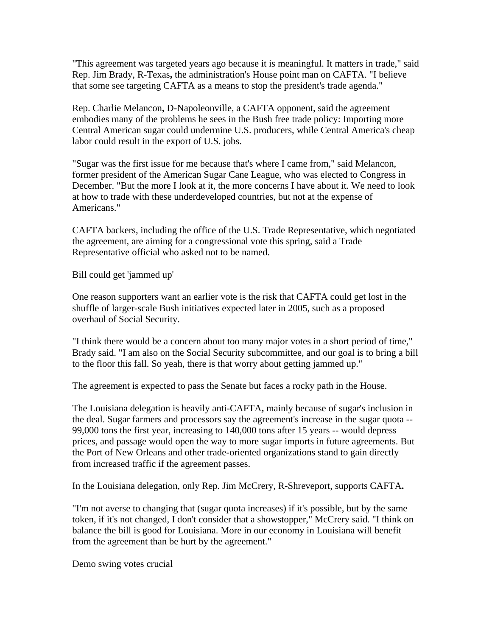"This agreement was targeted years ago because it is meaningful. It matters in trade," said Rep. Jim Brady, R-Texas**,** the administration's House point man on CAFTA. "I believe that some see targeting CAFTA as a means to stop the president's trade agenda."

Rep. Charlie Melancon**,** D-Napoleonville, a CAFTA opponent, said the agreement embodies many of the problems he sees in the Bush free trade policy: Importing more Central American sugar could undermine U.S. producers, while Central America's cheap labor could result in the export of U.S. jobs.

"Sugar was the first issue for me because that's where I came from," said Melancon, former president of the American Sugar Cane League, who was elected to Congress in December. "But the more I look at it, the more concerns I have about it. We need to look at how to trade with these underdeveloped countries, but not at the expense of Americans."

CAFTA backers, including the office of the U.S. Trade Representative, which negotiated the agreement, are aiming for a congressional vote this spring, said a Trade Representative official who asked not to be named.

Bill could get 'jammed up'

One reason supporters want an earlier vote is the risk that CAFTA could get lost in the shuffle of larger-scale Bush initiatives expected later in 2005, such as a proposed overhaul of Social Security.

"I think there would be a concern about too many major votes in a short period of time," Brady said. "I am also on the Social Security subcommittee, and our goal is to bring a bill to the floor this fall. So yeah, there is that worry about getting jammed up."

The agreement is expected to pass the Senate but faces a rocky path in the House.

The Louisiana delegation is heavily anti-CAFTA**,** mainly because of sugar's inclusion in the deal. Sugar farmers and processors say the agreement's increase in the sugar quota -- 99,000 tons the first year, increasing to 140,000 tons after 15 years -- would depress prices, and passage would open the way to more sugar imports in future agreements. But the Port of New Orleans and other trade-oriented organizations stand to gain directly from increased traffic if the agreement passes.

In the Louisiana delegation, only Rep. Jim McCrery, R-Shreveport, supports CAFTA**.** 

"I'm not averse to changing that (sugar quota increases) if it's possible, but by the same token, if it's not changed, I don't consider that a showstopper," McCrery said. "I think on balance the bill is good for Louisiana. More in our economy in Louisiana will benefit from the agreement than be hurt by the agreement."

Demo swing votes crucial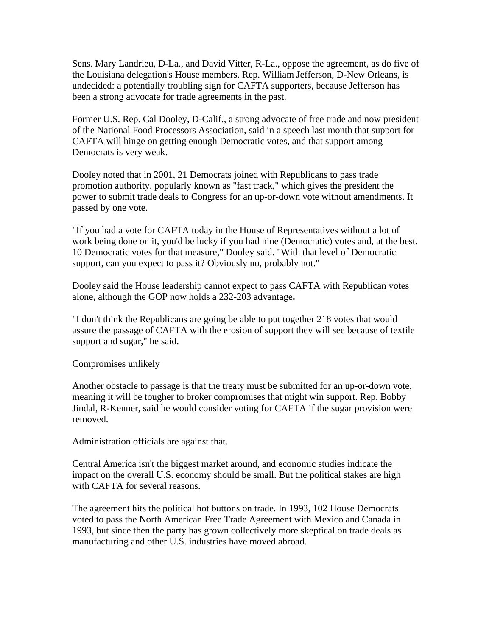Sens. Mary Landrieu, D-La., and David Vitter, R-La., oppose the agreement, as do five of the Louisiana delegation's House members. Rep. William Jefferson, D-New Orleans, is undecided: a potentially troubling sign for CAFTA supporters, because Jefferson has been a strong advocate for trade agreements in the past.

Former U.S. Rep. Cal Dooley, D-Calif., a strong advocate of free trade and now president of the National Food Processors Association, said in a speech last month that support for CAFTA will hinge on getting enough Democratic votes, and that support among Democrats is very weak.

Dooley noted that in 2001, 21 Democrats joined with Republicans to pass trade promotion authority, popularly known as "fast track," which gives the president the power to submit trade deals to Congress for an up-or-down vote without amendments. It passed by one vote.

"If you had a vote for CAFTA today in the House of Representatives without a lot of work being done on it, you'd be lucky if you had nine (Democratic) votes and, at the best, 10 Democratic votes for that measure," Dooley said. "With that level of Democratic support, can you expect to pass it? Obviously no, probably not."

Dooley said the House leadership cannot expect to pass CAFTA with Republican votes alone, although the GOP now holds a 232-203 advantage**.** 

"I don't think the Republicans are going be able to put together 218 votes that would assure the passage of CAFTA with the erosion of support they will see because of textile support and sugar," he said.

Compromises unlikely

Another obstacle to passage is that the treaty must be submitted for an up-or-down vote, meaning it will be tougher to broker compromises that might win support. Rep. Bobby Jindal, R-Kenner, said he would consider voting for CAFTA if the sugar provision were removed.

Administration officials are against that.

Central America isn't the biggest market around, and economic studies indicate the impact on the overall U.S. economy should be small. But the political stakes are high with CAFTA for several reasons.

The agreement hits the political hot buttons on trade. In 1993, 102 House Democrats voted to pass the North American Free Trade Agreement with Mexico and Canada in 1993, but since then the party has grown collectively more skeptical on trade deals as manufacturing and other U.S. industries have moved abroad.